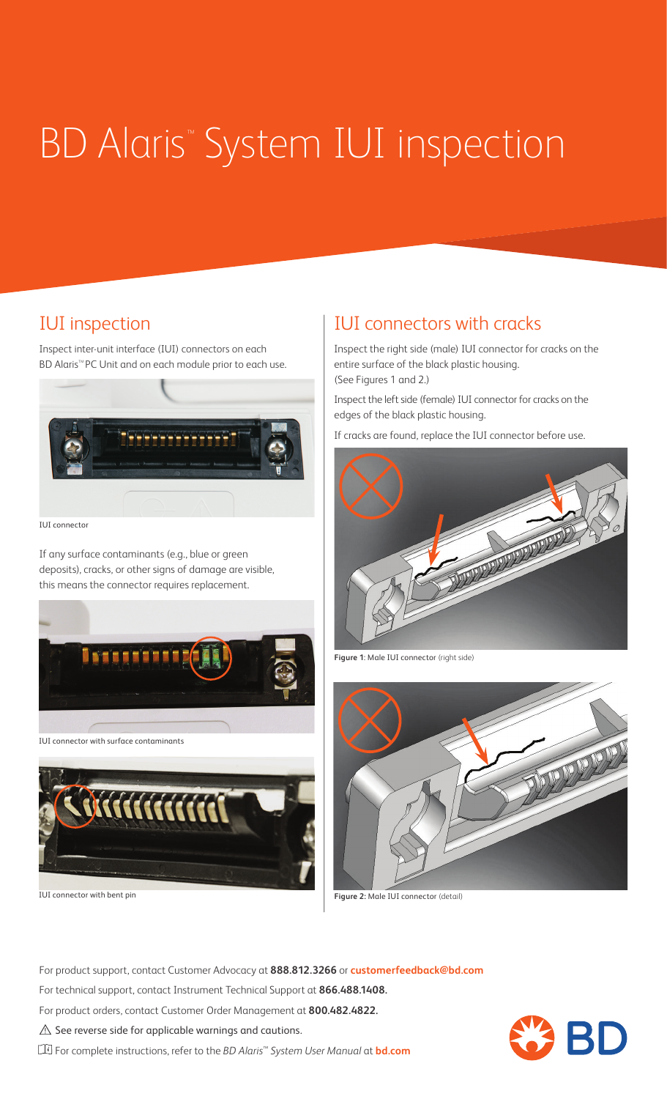# **BD Alaris<sup>™</sup> System IUI inspection**

Inspect inter-unit interface (IUI) connectors on each BD Alaris<sup>™</sup> PC Unit and on each module prior to each use.



IUI connector

If any surface contaminants (e.g., blue or green deposits), cracks, or other signs of damage are visible, this means the connector requires replacement.





IUI connector with bent pin

#### IUI inspection  $|$  IUI connectors with cracks

Inspect the right side (male) IUI connector for cracks on the entire surface of the black plastic housing. (See Figures 1 and 2.)

Inspect the left side (female) IUI connector for cracks on the edges of the black plastic housing.

If cracks are found, replace the IUI connector before use.



**Figure 1**: Male IUI connector (right side)



**Figure 2:** Male IUI connector (detail)

For product support, contact Customer Advocacy at **888.812.3266** or **customerfeedback@bd.com**

For technical support, contact Instrument Technical Support at **866.488.1408.**

For product orders, contact Customer Order Management at **800.482.4822.**

 $\triangle$  See reverse side for applicable warnings and cautions.

For complete instructions, refer to the *BD Alaris™ System User Manual* at **bd.com**